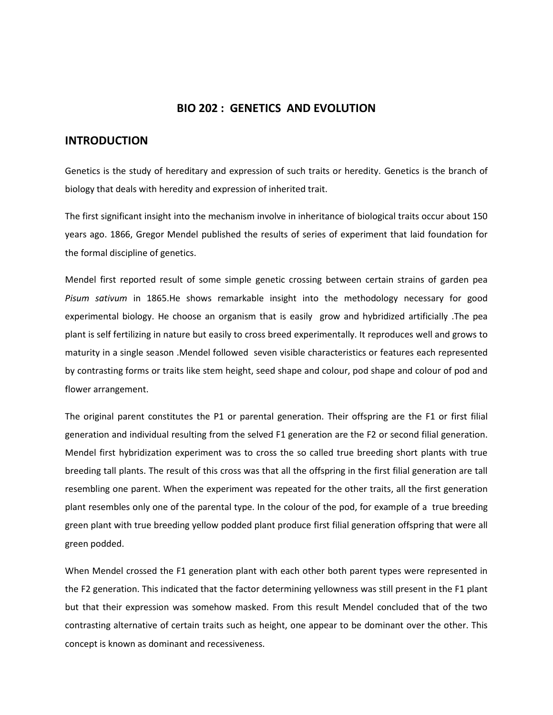## **BIO 202 : GENETICS AND EVOLUTION**

## **INTRODUCTION**

Genetics is the study of hereditary and expression of such traits or heredity. Genetics is the branch of biology that deals with heredity and expression of inherited trait.

The first significant insight into the mechanism involve in inheritance of biological traits occur about 150 years ago. 1866, Gregor Mendel published the results of series of experiment that laid foundation for the formal discipline of genetics.

Mendel first reported result of some simple genetic crossing between certain strains of garden pea *Pisum sativum* in 1865.He shows remarkable insight into the methodology necessary for good experimental biology. He choose an organism that is easily grow and hybridized artificially .The pea plant is self fertilizing in nature but easily to cross breed experimentally. It reproduces well and grows to maturity in a single season .Mendel followed seven visible characteristics or features each represented by contrasting forms or traits like stem height, seed shape and colour, pod shape and colour of pod and flower arrangement.

The original parent constitutes the P1 or parental generation. Their offspring are the F1 or first filial generation and individual resulting from the selved F1 generation are the F2 or second filial generation. Mendel first hybridization experiment was to cross the so called true breeding short plants with true breeding tall plants. The result of this cross was that all the offspring in the first filial generation are tall resembling one parent. When the experiment was repeated for the other traits, all the first generation plant resembles only one of the parental type. In the colour of the pod, for example of a true breeding green plant with true breeding yellow podded plant produce first filial generation offspring that were all green podded.

When Mendel crossed the F1 generation plant with each other both parent types were represented in the F2 generation. This indicated that the factor determining yellowness was still present in the F1 plant but that their expression was somehow masked. From this result Mendel concluded that of the two contrasting alternative of certain traits such as height, one appear to be dominant over the other. This concept is known as dominant and recessiveness.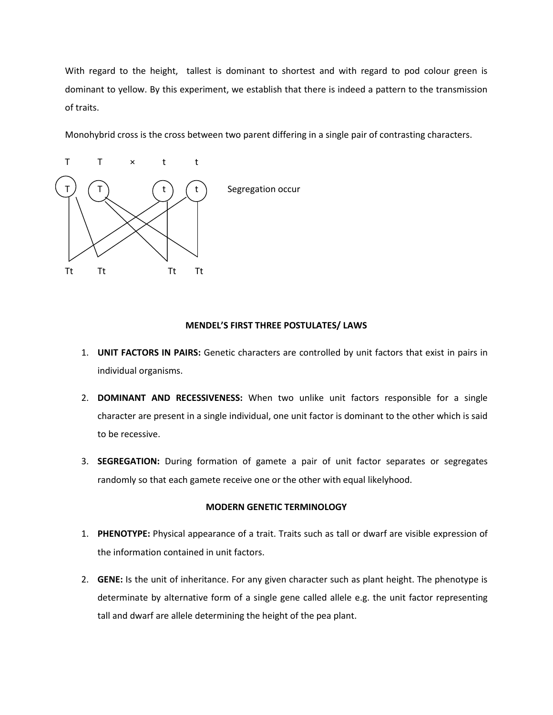With regard to the height, tallest is dominant to shortest and with regard to pod colour green is dominant to yellow. By this experiment, we establish that there is indeed a pattern to the transmission of traits.

Monohybrid cross is the cross between two parent differing in a single pair of contrasting characters.



### **MENDEL'S FIRST THREE POSTULATES/ LAWS**

- 1. **UNIT FACTORS IN PAIRS:** Genetic characters are controlled by unit factors that exist in pairs in individual organisms.
- 2. **DOMINANT AND RECESSIVENESS:** When two unlike unit factors responsible for a single character are present in a single individual, one unit factor is dominant to the other which is said to be recessive.
- 3. **SEGREGATION:** During formation of gamete a pair of unit factor separates or segregates randomly so that each gamete receive one or the other with equal likelyhood.

## **MODERN GENETIC TERMINOLOGY**

- 1. **PHENOTYPE:** Physical appearance of a trait. Traits such as tall or dwarf are visible expression of the information contained in unit factors.
- 2. **GENE:** Is the unit of inheritance. For any given character such as plant height. The phenotype is determinate by alternative form of a single gene called allele e.g. the unit factor representing tall and dwarf are allele determining the height of the pea plant.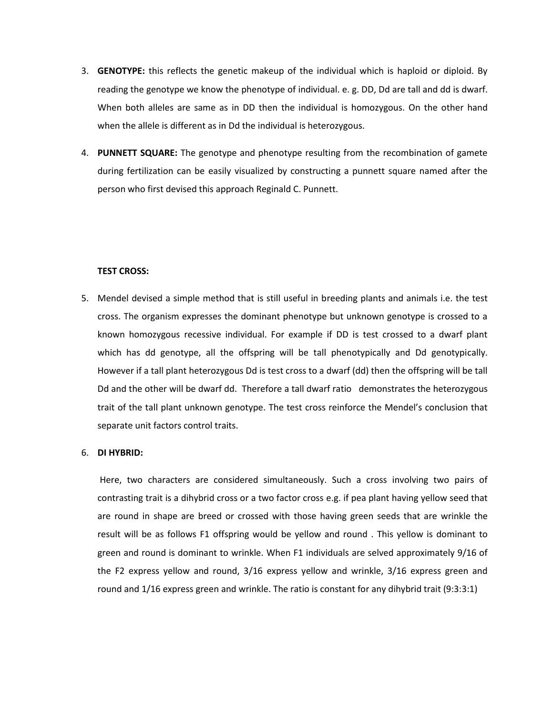- 3. **GENOTYPE:** this reflects the genetic makeup of the individual which is haploid or diploid. By reading the genotype we know the phenotype of individual. e. g. DD, Dd are tall and dd is dwarf. When both alleles are same as in DD then the individual is homozygous. On the other hand when the allele is different as in Dd the individual is heterozygous.
- 4. **PUNNETT SQUARE:** The genotype and phenotype resulting from the recombination of gamete during fertilization can be easily visualized by constructing a punnett square named after the person who first devised this approach Reginald C. Punnett.

### **TEST CROSS:**

5. Mendel devised a simple method that is still useful in breeding plants and animals i.e. the test cross. The organism expresses the dominant phenotype but unknown genotype is crossed to a known homozygous recessive individual. For example if DD is test crossed to a dwarf plant which has dd genotype, all the offspring will be tall phenotypically and Dd genotypically. However if a tall plant heterozygous Dd is test cross to a dwarf (dd) then the offspring will be tall Dd and the other will be dwarf dd. Therefore a tall dwarf ratio demonstrates the heterozygous trait of the tall plant unknown genotype. The test cross reinforce the Mendel's conclusion that separate unit factors control traits.

#### 6. **DI HYBRID:**

Here, two characters are considered simultaneously. Such a cross involving two pairs of contrasting trait is a dihybrid cross or a two factor cross e.g. if pea plant having yellow seed that are round in shape are breed or crossed with those having green seeds that are wrinkle the result will be as follows F1 offspring would be yellow and round . This yellow is dominant to green and round is dominant to wrinkle. When F1 individuals are selved approximately 9/16 of the F2 express yellow and round, 3/16 express yellow and wrinkle, 3/16 express green and round and 1/16 express green and wrinkle. The ratio is constant for any dihybrid trait (9:3:3:1)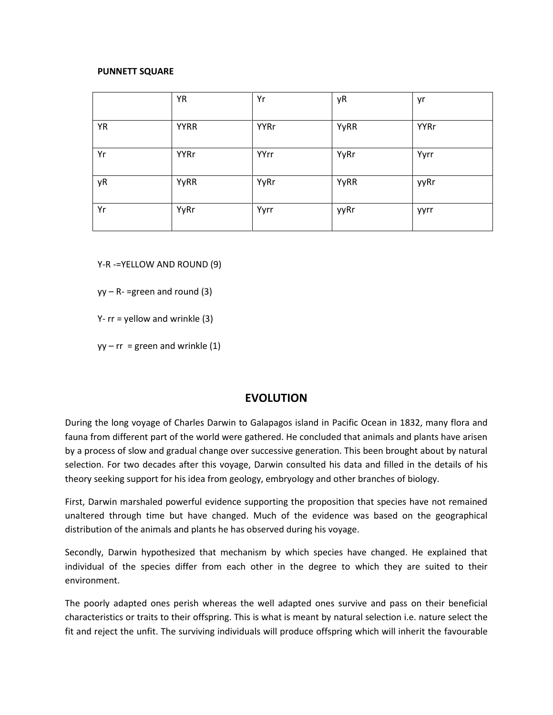## **PUNNETT SQUARE**

|           | YR          | Yr          | yR   | yr          |
|-----------|-------------|-------------|------|-------------|
| <b>YR</b> | <b>YYRR</b> | <b>YYRr</b> | YyRR | <b>YYRr</b> |
| Yr        | <b>YYRr</b> | YYrr        | YyRr | Yyrr        |
| уR        | YyRR        | YyRr        | YyRR | yyRr        |
| Yr        | YyRr        | Yyrr        | yyRr | yyrr        |

Y-R -=YELLOW AND ROUND (9)

 $yy - R -$  =green and round (3)

 $Y-$  rr = yellow and wrinkle (3)

 $yy - rr$  = green and wrinkle (1)

# **EVOLUTION**

During the long voyage of Charles Darwin to Galapagos island in Pacific Ocean in 1832, many flora and fauna from different part of the world were gathered. He concluded that animals and plants have arisen by a process of slow and gradual change over successive generation. This been brought about by natural selection. For two decades after this voyage, Darwin consulted his data and filled in the details of his theory seeking support for his idea from geology, embryology and other branches of biology.

First, Darwin marshaled powerful evidence supporting the proposition that species have not remained unaltered through time but have changed. Much of the evidence was based on the geographical distribution of the animals and plants he has observed during his voyage.

Secondly, Darwin hypothesized that mechanism by which species have changed. He explained that individual of the species differ from each other in the degree to which they are suited to their environment.

The poorly adapted ones perish whereas the well adapted ones survive and pass on their beneficial characteristics or traits to their offspring. This is what is meant by natural selection i.e. nature select the fit and reject the unfit. The surviving individuals will produce offspring which will inherit the favourable